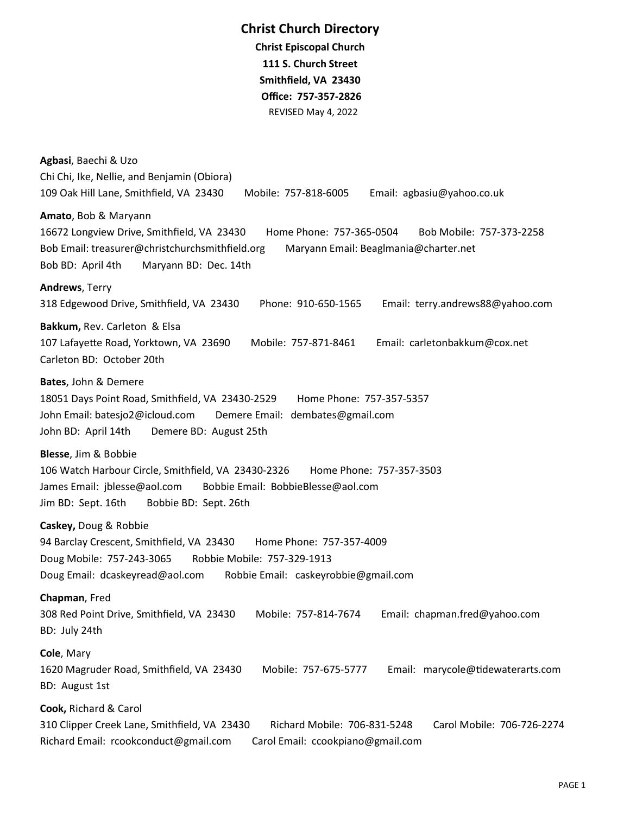## **Christ Church Directory**

**Christ Episcopal Church 111 S. Church Street Smithfield, VA 23430 Office: 757-357-2826** REVISED May 4, 2022

**Agbasi**, Baechi & Uzo Chi Chi, Ike, Nellie, and Benjamin (Obiora) 109 Oak Hill Lane, Smithfield, VA 23430 Mobile: 757-818-6005 Email: agbasiu@yahoo.co.uk **Amato**, Bob & Maryann 16672 Longview Drive, Smithfield, VA 23430 Home Phone: 757-365-0504 Bob Mobile: 757-373-2258 Bob Email: treasurer@christchurchsmithfield.org Maryann Email: Beaglmania@charter.net Bob BD: April 4th Maryann BD: Dec. 14th **Andrews**, Terry 318 Edgewood Drive, Smithfield, VA 23430 Phone: 910-650-1565 Email: terry.andrews88@yahoo.com **Bakkum,** Rev. Carleton & Elsa 107 Lafayette Road, Yorktown, VA 23690 Mobile: 757-871-8461 Email: carletonbakkum@cox.net Carleton BD: October 20th **Bates**, John & Demere 18051 Days Point Road, Smithfield, VA 23430-2529 Home Phone: 757-357-5357 John Email: batesjo2@icloud.com Demere Email: dembates@gmail.com John BD: April 14th Demere BD: August 25th **Blesse**, Jim & Bobbie 106 Watch Harbour Circle, Smithfield, VA 23430-2326 Home Phone: 757-357-3503 James Email: jblesse@aol.com Bobbie Email: BobbieBlesse@aol.com Jim BD: Sept. 16th Bobbie BD: Sept. 26th **Caskey,** Doug & Robbie 94 Barclay Crescent, Smithfield, VA 23430 Home Phone: 757-357-4009 Doug Mobile: 757-243-3065 Robbie Mobile: 757-329-1913 Doug Email: dcaskeyread@aol.com Robbie Email: caskeyrobbie@gmail.com **Chapman**, Fred 308 Red Point Drive, Smithfield, VA 23430 Mobile: 757-814-7674 Email: chapman.fred@yahoo.com BD: July 24th **Cole**, Mary 1620 Magruder Road, Smithfield, VA 23430 Mobile: 757-675-5777 Email: marycole@tidewaterarts.com BD: August 1st **Cook,** Richard & Carol 310 Clipper Creek Lane, Smithfield, VA 23430 Richard Mobile: 706-831-5248 Carol Mobile: 706-726-2274 Richard Email: rcookconduct@gmail.com Carol Email: ccookpiano@gmail.com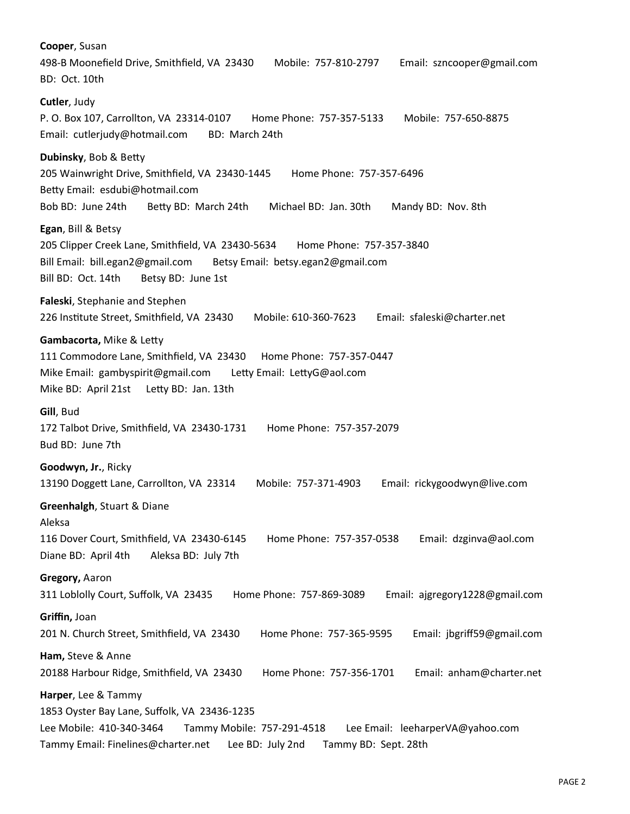**Cooper**, Susan 498-B Moonefield Drive, Smithfield, VA 23430 Mobile: 757-810-2797 Email: szncooper@gmail.com BD: Oct. 10th **Cutler**, Judy P. O. Box 107, Carrollton, VA 23314-0107 Home Phone: 757-357-5133 Mobile: 757-650-8875 Email: cutlerjudy@hotmail.com BD: March 24th **Dubinsky**, Bob & Betty 205 Wainwright Drive, Smithfield, VA 23430-1445 Home Phone: 757-357-6496 Betty Email: esdubi@hotmail.com Bob BD: June 24th Betty BD: March 24th Michael BD: Jan. 30th Mandy BD: Nov. 8th **Egan**, Bill & Betsy 205 Clipper Creek Lane, Smithfield, VA 23430-5634 Home Phone: 757-357-3840 Bill Email: bill.egan2@gmail.com Betsy Email: betsy.egan2@gmail.com Bill BD: Oct. 14th Betsy BD: June 1st **Faleski**, Stephanie and Stephen 226 Institute Street, Smithfield, VA 23430 Mobile: 610-360-7623 Email: sfaleski@charter.net **Gambacorta,** Mike & Letty 111 Commodore Lane, Smithfield, VA 23430 Home Phone: 757-357-0447 Mike Email: gambyspirit@gmail.com Letty Email: LettyG@aol.com Mike BD: April 21st Letty BD: Jan. 13th **Gill**, Bud 172 Talbot Drive, Smithfield, VA 23430-1731 Home Phone: 757-357-2079 Bud BD: June 7th **Goodwyn, Jr.**, Ricky 13190 Doggett Lane, Carrollton, VA 23314 Mobile: 757-371-4903 Email: rickygoodwyn@live.com **Greenhalgh**, Stuart & Diane Aleksa 116 Dover Court, Smithfield, VA 23430-6145 Home Phone: 757-357-0538 Email: dzginva@aol.com Diane BD: April 4th Aleksa BD: July 7th **Gregory,** Aaron 311 Loblolly Court, Suffolk, VA 23435 Home Phone: 757-869-3089 Email: ajgregory1228@gmail.com **Griffin,** Joan 201 N. Church Street, Smithfield, VA 23430 Home Phone: 757-365-9595 Email: jbgriff59@gmail.com **Ham,** Steve & Anne 20188 Harbour Ridge, Smithfield, VA 23430 Home Phone: 757-356-1701 Email: anham@charter.net **Harper**, Lee & Tammy 1853 Oyster Bay Lane, Suffolk, VA 23436-1235 Lee Mobile: 410-340-3464 Tammy Mobile: 757-291-4518 Lee Email: leeharperVA@yahoo.com Tammy Email: Finelines@charter.net Lee BD: July 2nd Tammy BD: Sept. 28th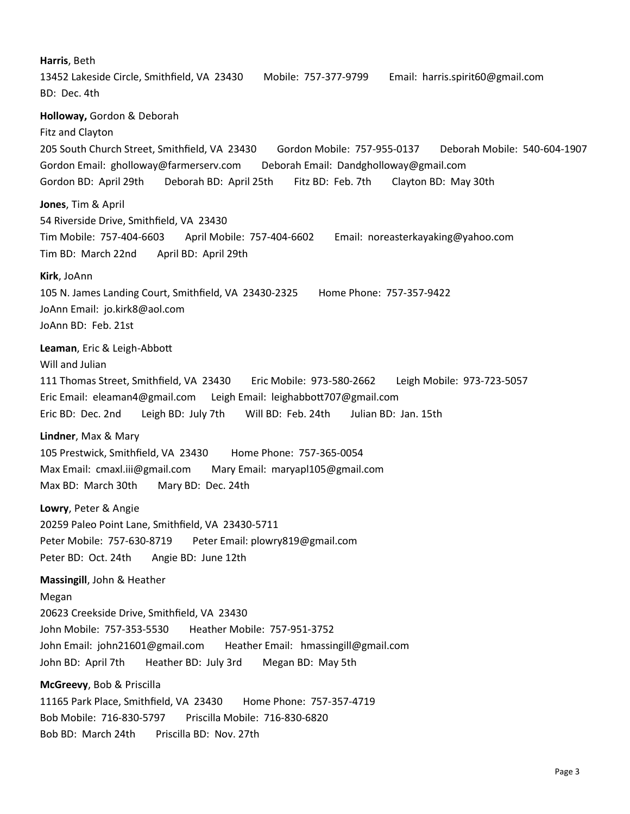**Harris**, Beth 13452 Lakeside Circle, Smithfield, VA 23430 Mobile: 757-377-9799 Email: harris.spirit60@gmail.com BD: Dec. 4th **Holloway,** Gordon & Deborah Fitz and Clayton 205 South Church Street, Smithfield, VA 23430 Gordon Mobile: 757-955-0137 Deborah Mobile: 540-604-1907 Gordon Email: gholloway@farmerserv.com Deborah Email: Dandgholloway@gmail.com Gordon BD: April 29th Deborah BD: April 25th Fitz BD: Feb. 7th Clayton BD: May 30th **Jones**, Tim & April 54 Riverside Drive, Smithfield, VA 23430 Tim Mobile: 757-404-6603 April Mobile: 757-404-6602 Email: noreasterkayaking@yahoo.com Tim BD: March 22nd April BD: April 29th **Kirk**, JoAnn 105 N. James Landing Court, Smithfield, VA 23430-2325 Home Phone: 757-357-9422 JoAnn Email: jo.kirk8@aol.com JoAnn BD: Feb. 21st **Leaman**, Eric & Leigh-Abbott Will and Julian 111 Thomas Street, Smithfield, VA 23430 Eric Mobile: 973-580-2662 Leigh Mobile: 973-723-5057 Eric Email: eleaman4@gmail.com Leigh Email: leighabbott707@gmail.com Eric BD: Dec. 2nd Leigh BD: July 7th Will BD: Feb. 24th Julian BD: Jan. 15th **Lindner**, Max & Mary 105 Prestwick, Smithfield, VA 23430 Home Phone: 757-365-0054 Max Email: cmaxl.iii@gmail.com Mary Email: maryapl105@gmail.com Max BD: March 30th Mary BD: Dec. 24th **Lowry**, Peter & Angie 20259 Paleo Point Lane, Smithfield, VA 23430-5711 Peter Mobile: 757-630-8719 Peter Email: plowry819@gmail.com Peter BD: Oct. 24th Angie BD: June 12th **Massingill**, John & Heather Megan 20623 Creekside Drive, Smithfield, VA 23430 John Mobile: 757-353-5530 Heather Mobile: 757-951-3752 John Email: john21601@gmail.com Heather Email: hmassingill@gmail.com John BD: April 7th Heather BD: July 3rd Megan BD: May 5th **McGreevy**, Bob & Priscilla 11165 Park Place, Smithfield, VA 23430 Home Phone: 757-357-4719 Bob Mobile: 716-830-5797 Priscilla Mobile: 716-830-6820 Bob BD: March 24th Priscilla BD: Nov. 27th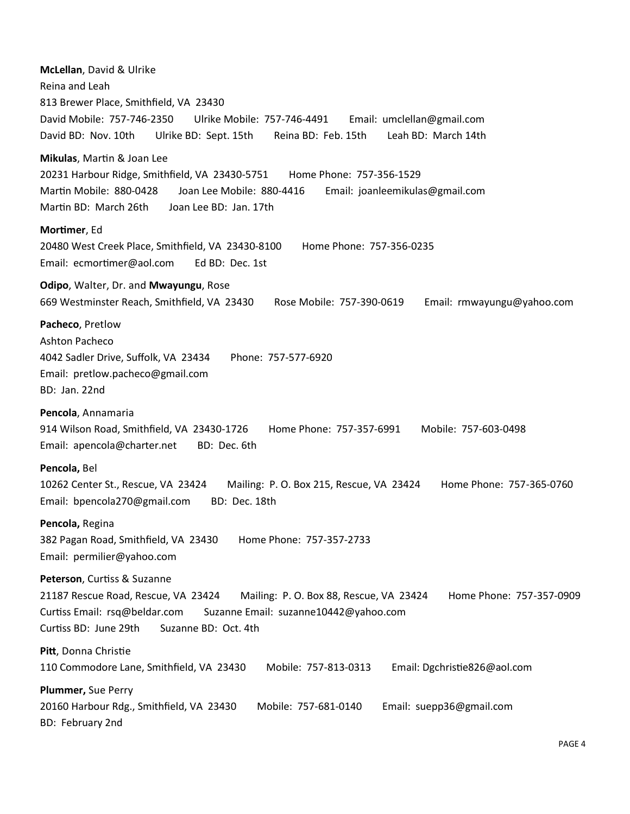**McLellan**, David & Ulrike Reina and Leah 813 Brewer Place, Smithfield, VA 23430 David Mobile: 757-746-2350 Ulrike Mobile: 757-746-4491 Email: umclellan@gmail.com David BD: Nov. 10th Ulrike BD: Sept. 15th Reina BD: Feb. 15th Leah BD: March 14th **Mikulas**, Martin & Joan Lee 20231 Harbour Ridge, Smithfield, VA 23430-5751 Home Phone: 757-356-1529 Martin Mobile: 880-0428 Joan Lee Mobile: 880-4416 Email: joanleemikulas@gmail.com Martin BD: March 26th Joan Lee BD: Jan. 17th **Mortimer**, Ed 20480 West Creek Place, Smithfield, VA 23430-8100 Home Phone: 757-356-0235 Email: ecmortimer@aol.com Ed BD: Dec. 1st **Odipo**, Walter, Dr. and **Mwayungu**, Rose 669 Westminster Reach, Smithfield, VA 23430 Rose Mobile: 757-390-0619 Email: rmwayungu@yahoo.com **Pacheco**, Pretlow Ashton Pacheco 4042 Sadler Drive, Suffolk, VA 23434 Phone: 757-577-6920 Email: pretlow.pacheco@gmail.com BD: Jan. 22nd **Pencola**, Annamaria 914 Wilson Road, Smithfield, VA 23430-1726 Home Phone: 757-357-6991 Mobile: 757-603-0498 Email: apencola@charter.net BD: Dec. 6th **Pencola,** Bel 10262 Center St., Rescue, VA 23424 Mailing: P. O. Box 215, Rescue, VA 23424 Home Phone: 757-365-0760 Email: bpencola270@gmail.com BD: Dec. 18th **Pencola,** Regina 382 Pagan Road, Smithfield, VA 23430 Home Phone: 757-357-2733 Email: permilier@yahoo.com **Peterson**, Curtiss & Suzanne 21187 Rescue Road, Rescue, VA 23424 Mailing: P. O. Box 88, Rescue, VA 23424 Home Phone: 757-357-0909 Curtiss Email: rsq@beldar.com Suzanne Email: suzanne10442@yahoo.com Curtiss BD: June 29th Suzanne BD: Oct. 4th **Pitt**, Donna Christie 110 Commodore Lane, Smithfield, VA 23430 Mobile: 757-813-0313 Email: Dgchristie826@aol.com **Plummer,** Sue Perry 20160 Harbour Rdg., Smithfield, VA 23430 Mobile: 757-681-0140 Email: suepp36@gmail.com BD: February 2nd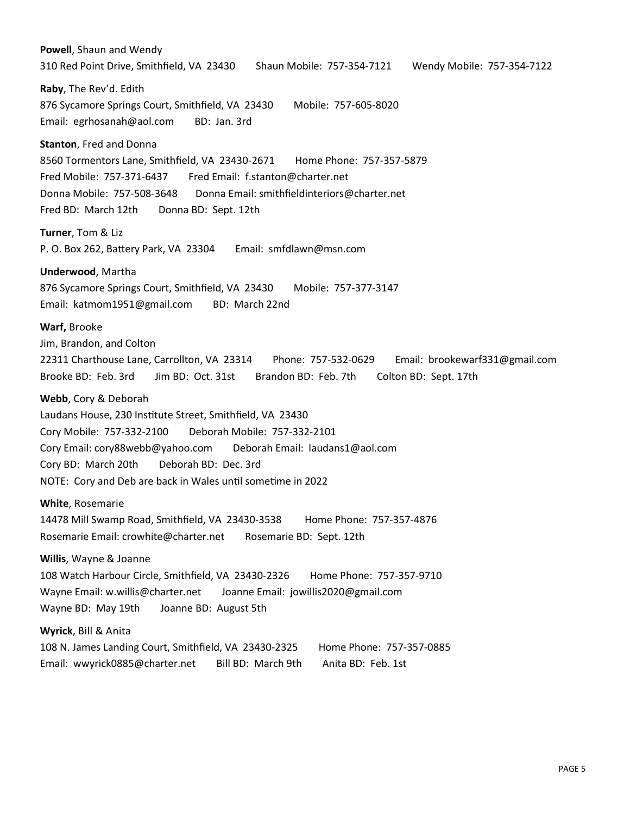**Powell**, Shaun and Wendy 310 Red Point Drive, Smithfield, VA 23430 Shaun Mobile: 757-354-7121 Wendy Mobile: 757-354-7122 **Raby**, The Rev'd. Edith 876 Sycamore Springs Court, Smithfield, VA 23430 Mobile: 757-605-8020 Email: egrhosanah@aol.com BD: Jan. 3rd **Stanton**, Fred and Donna 8560 Tormentors Lane, Smithfield, VA 23430-2671 Home Phone: 757-357-5879 Fred Mobile: 757-371-6437 Fred Email: f.stanton@charter.net Donna Mobile: 757-508-3648 Donna Email: smithfieldinteriors@charter.net Fred BD: March 12th Donna BD: Sept. 12th **Turner**, Tom & Liz P. O. Box 262, Battery Park, VA 23304 Email: smfdlawn@msn.com **Underwood**, Martha 876 Sycamore Springs Court, Smithfield, VA 23430 Mobile: 757-377-3147 Email: katmom1951@gmail.com BD: March 22nd **Warf,** Brooke Jim, Brandon, and Colton 22311 Charthouse Lane, Carrollton, VA 23314 Phone: 757-532-0629 Email: brookewarf331@gmail.com Brooke BD: Feb. 3rd Jim BD: Oct. 31st Brandon BD: Feb. 7th Colton BD: Sept. 17th **Webb**, Cory & Deborah Laudans House, 230 Institute Street, Smithfield, VA 23430 Cory Mobile: 757-332-2100 Deborah Mobile: 757-332-2101 Cory Email: cory88webb@yahoo.com Deborah Email: laudans1@aol.com Cory BD: March 20th Deborah BD: Dec. 3rd NOTE: Cory and Deb are back in Wales until sometime in 2022 **White**, Rosemarie 14478 Mill Swamp Road, Smithfield, VA 23430-3538 Home Phone: 757-357-4876 Rosemarie Email: crowhite@charter.net Rosemarie BD: Sept. 12th **Willis**, Wayne & Joanne 108 Watch Harbour Circle, Smithfield, VA 23430-2326 Home Phone: 757-357-9710 Wayne Email: w.willis@charter.net Joanne Email: jowillis2020@gmail.com Wayne BD: May 19th Joanne BD: August 5th **Wyrick**, Bill & Anita 108 N. James Landing Court, Smithfield, VA 23430-2325 Home Phone: 757-357-0885 Email: wwyrick0885@charter.net Bill BD: March 9th Anita BD: Feb. 1st